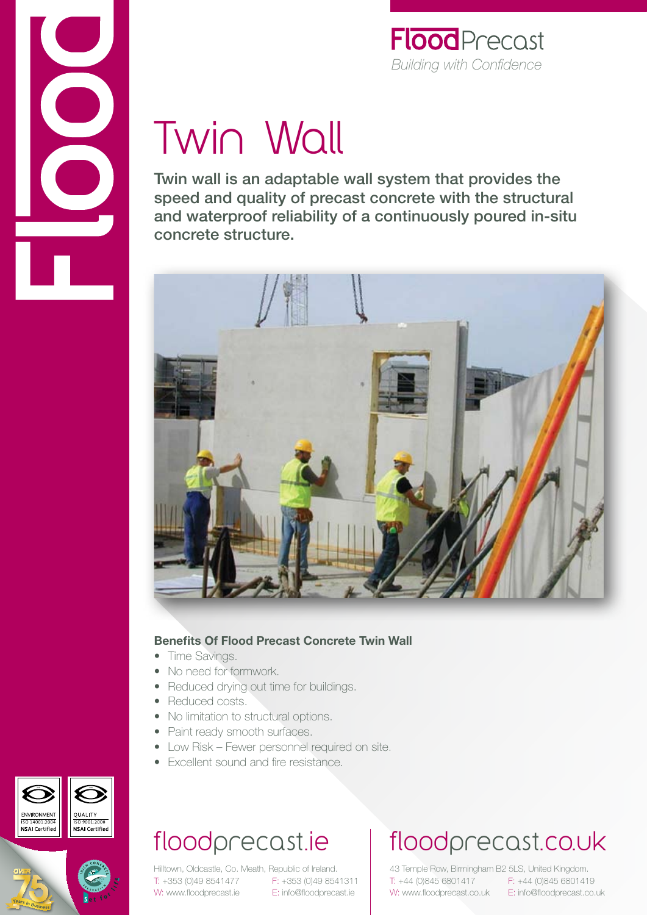

### **Flood** Precast *Building with Confidence*

# Twin Wall

Twin wall is an adaptable wall system that provides the speed and quality of precast concrete with the structural and waterproof reliability of a continuously poured in-situ concrete structure.



#### **Benefits Of Flood Precast Concrete Twin Wall**

- Time Savings.
- No need for formwork.
- Reduced drying out time for buildings.
- Reduced costs.
- No limitation to structural options.
- Paint ready smooth surfaces.
- Low Risk Fewer personnel required on site.
- Excellent sound and fire resistance.

#### ENVIRONMENT QUALITY ISO 9001:2008 **NSAI** Certified



## floodprecast.ie

Hilltown, Oldcastle, Co. Meath, Republic of Ireland. T: +353 (0)49 8541477 F: +353 (0)49 8541311 W: www.floodprecast.ie E: info@floodprecast.ie

# floodprecast.co.uk

43 Temple Row, Birmingham B2 5LS, United Kingdom. T: +44 (0)845 6801417 F: +44 (0)845 6801419 W: www.floodprecast.co.uk E: info@floodprecast.co.uk